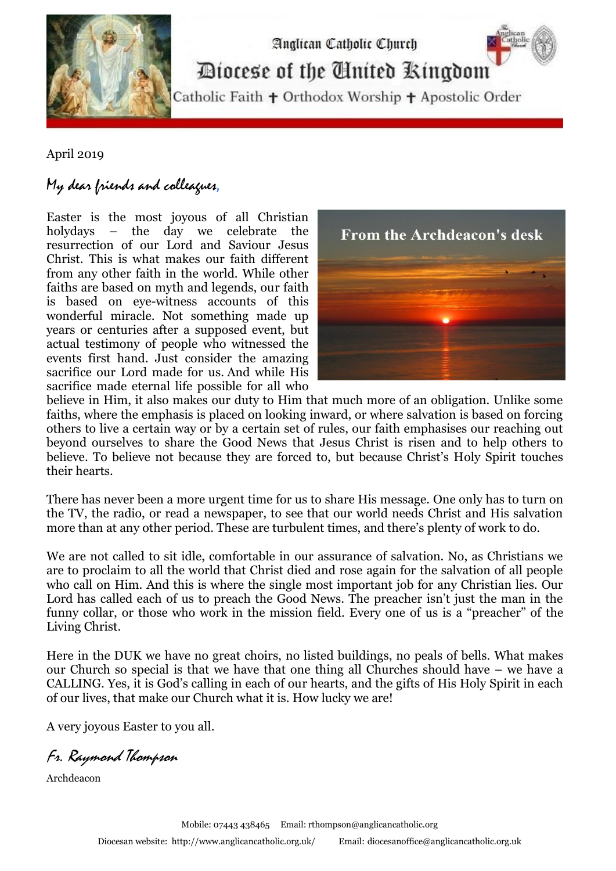

Analican Catholic Church Diocese of the Cinited Ringdom

Catholic Faith + Orthodox Worship + Apostolic Order

April 2019

## My dear friends and colleagues,

Easter is the most joyous of all Christian holydays – the day we celebrate the resurrection of our Lord and Saviour Jesus Christ. This is what makes our faith different from any other faith in the world. While other faiths are based on myth and legends, our faith is based on eye-witness accounts of this wonderful miracle. Not something made up years or centuries after a supposed event, but actual testimony of people who witnessed the events first hand. Just consider the amazing sacrifice our Lord made for us. And while His sacrifice made eternal life possible for all who



believe in Him, it also makes our duty to Him that much more of an obligation. Unlike some faiths, where the emphasis is placed on looking inward, or where salvation is based on forcing others to live a certain way or by a certain set of rules, our faith emphasises our reaching out beyond ourselves to share the Good News that Jesus Christ is risen and to help others to believe. To believe not because they are forced to, but because Christ's Holy Spirit touches their hearts.

There has never been a more urgent time for us to share His message. One only has to turn on the TV, the radio, or read a newspaper, to see that our world needs Christ and His salvation more than at any other period. These are turbulent times, and there's plenty of work to do.

We are not called to sit idle, comfortable in our assurance of salvation. No, as Christians we are to proclaim to all the world that Christ died and rose again for the salvation of all people who call on Him. And this is where the single most important job for any Christian lies. Our Lord has called each of us to preach the Good News. The preacher isn't just the man in the funny collar, or those who work in the mission field. Every one of us is a "preacher" of the Living Christ.

Here in the DUK we have no great choirs, no listed buildings, no peals of bells. What makes our Church so special is that we have that one thing all Churches should have – we have a CALLING. Yes, it is God's calling in each of our hearts, and the gifts of His Holy Spirit in each of our lives, that make our Church what it is. How lucky we are!

A very joyous Easter to you all.

Fr. Raymond Thompson

Archdeacon